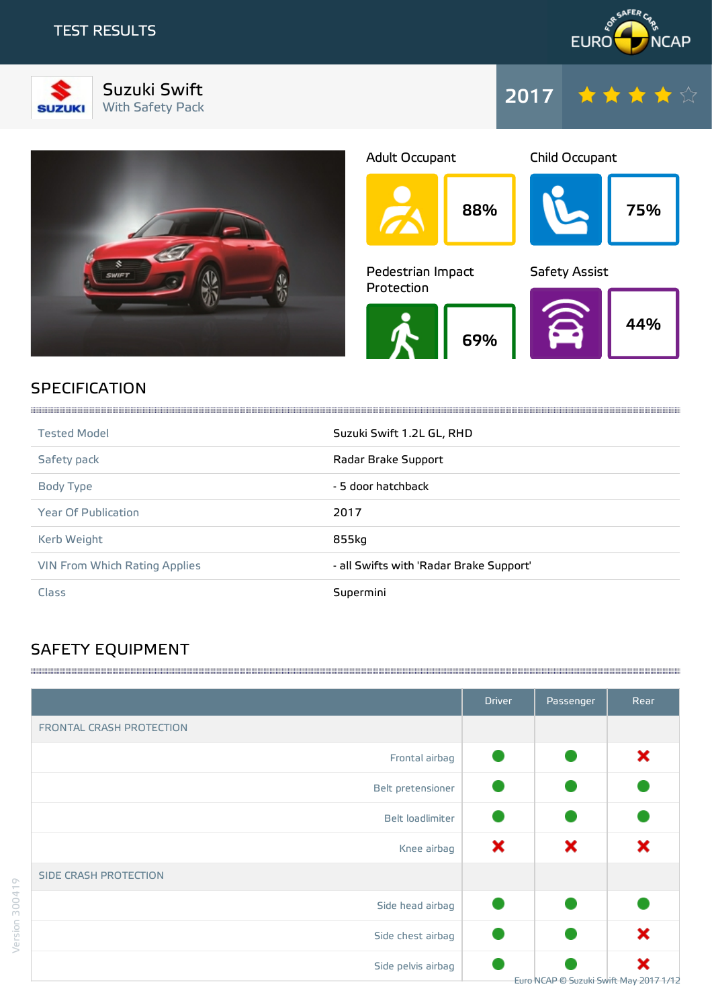



Suzuki Swift Suzuki Swift<br>With Safety Pack 2017







# SPECIFICATION

| <b>Tested Model</b>                  | Suzuki Swift 1.2L GL, RHD               |
|--------------------------------------|-----------------------------------------|
| Safety pack                          | Radar Brake Support                     |
| Body Type                            | - 5 door hatchback                      |
| <b>Year Of Publication</b>           | 2017                                    |
| Kerb Weight                          | 855kg                                   |
| <b>VIN From Which Rating Applies</b> | - all Swifts with 'Radar Brake Support' |
| Class                                | Supermini                               |

# SAFETY EQUIPMENT

|                          | <b>Driver</b> | Passenger | Rear                                        |
|--------------------------|---------------|-----------|---------------------------------------------|
| FRONTAL CRASH PROTECTION |               |           |                                             |
| Frontal airbag           |               |           | ×                                           |
| Belt pretensioner        |               |           |                                             |
| Belt loadlimiter         |               |           |                                             |
| Knee airbag              | ×             | ×         | ×                                           |
| SIDE CRASH PROTECTION    |               |           |                                             |
| Side head airbag         |               |           |                                             |
| Side chest airbag        |               |           | ×                                           |
| Side pelvis airbag       |               |           | ×<br>Euro NCAP © Suzuki Swift May 2017 1/12 |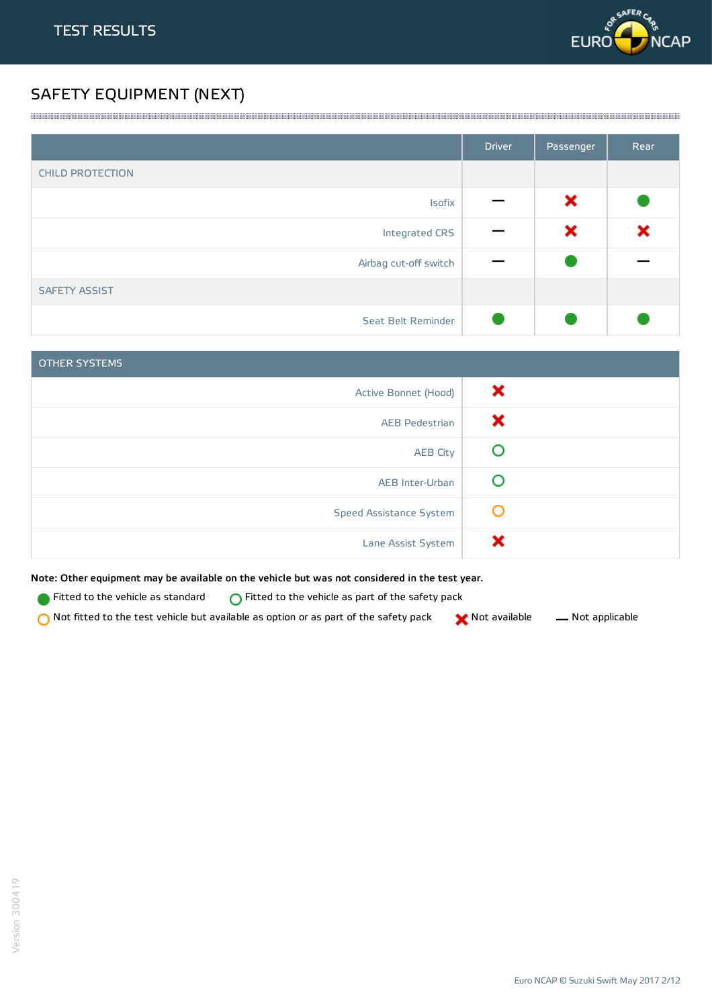

# SAFETY EQUIPMENT (NEXT)

|                         | <b>Driver</b> | Passenger | Rear |
|-------------------------|---------------|-----------|------|
| <b>CHILD PROTECTION</b> |               |           |      |
| Isofix                  |               | ×         |      |
| Integrated CRS          |               | ×         | ×    |
| Airbag cut-off switch   |               |           |      |
| <b>SAFETY ASSIST</b>    |               |           |      |
| Seat Belt Reminder      |               |           |      |

<u> 1989 - Andrea Stadt Stadt Stadt Stadt Stadt Stadt Stadt Stadt Stadt Stadt Stadt Stadt Stadt Stadt Stadt Stadt Stadt Stadt Stadt Stadt Stadt Stadt Stadt Stadt Stadt Stadt Stadt Stadt Stadt Stadt Stadt Stadt Stadt Stadt St</u>

| <b>OTHER SYSTEMS</b>    |   |
|-------------------------|---|
| Active Bonnet (Hood)    | × |
| <b>AEB Pedestrian</b>   | х |
| <b>AEB City</b>         |   |
| AEB Inter-Urban         |   |
| Speed Assistance System | O |
| Lane Assist System      |   |

Note: Other equipment may be available on the vehicle but was not considered in the test year.

Fitted to the vehicle as standard  $\bigcirc$  Fitted to the vehicle as part of the safety pack

 $\bigcirc$  Not fitted to the test vehicle but available as option or as part of the safety pack  $\bigcirc$  Not available  $\qquad$  Not applicable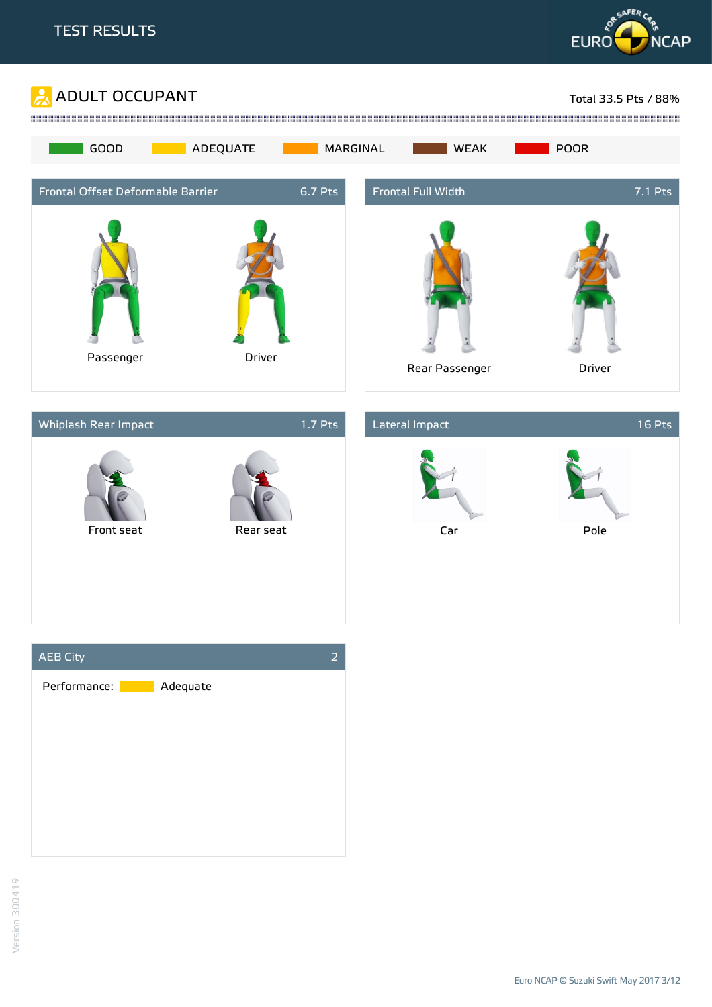







Euro NCAP © Suzuki Swift May 2017 3/12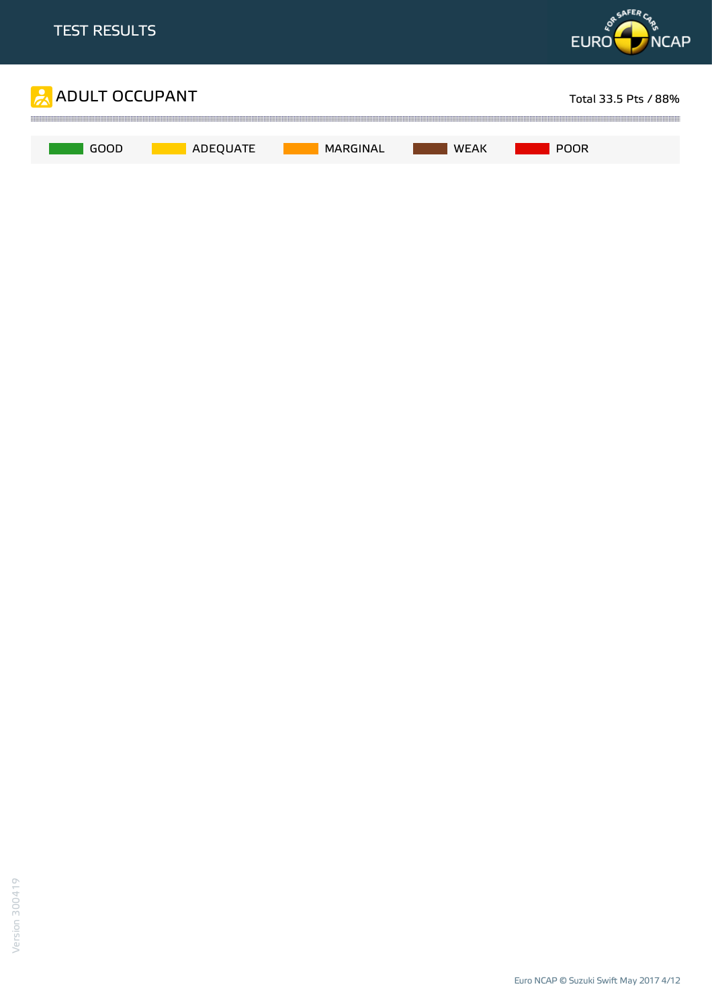

Euro NCAP © Suzuki Swift May 2017 4/12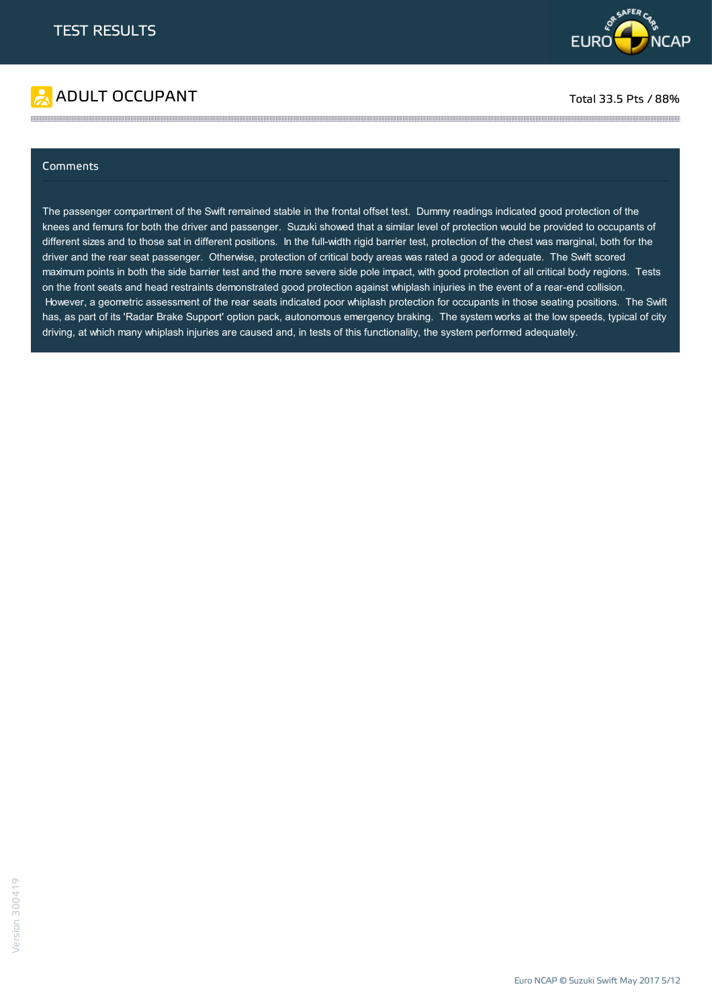



#### Comments

The passenger compartment of the Swift remained stable in the frontal offset test. Dummy readings indicated good protection of the knees and femurs for both the driver and passenger. Suzuki showed that a similar level of protection would be provided to occupants of different sizes and to those sat in different positions. In the full-width rigid barrier test, protection of the chest was marginal, both for the driver and the rear seat passenger. Otherwise, protection of critical body areas was rated a good or adequate. The Swift scored maximum points in both the side barrier test and the more severe side pole impact, with good protection of all critical body regions. Tests on the front seats and head restraints demonstrated good protection against whiplash injuries in the event of a rear-end collision. However, a geometric assessment of the rear seats indicated poor whiplash protection for occupants in those seating positions. The Swift has, as part of its 'Radar Brake Support' option pack, autonomous emergency braking. The system works at the low speeds, typical of city driving, at which many whiplash injuries are caused and, in tests of this functionality, the system performed adequately.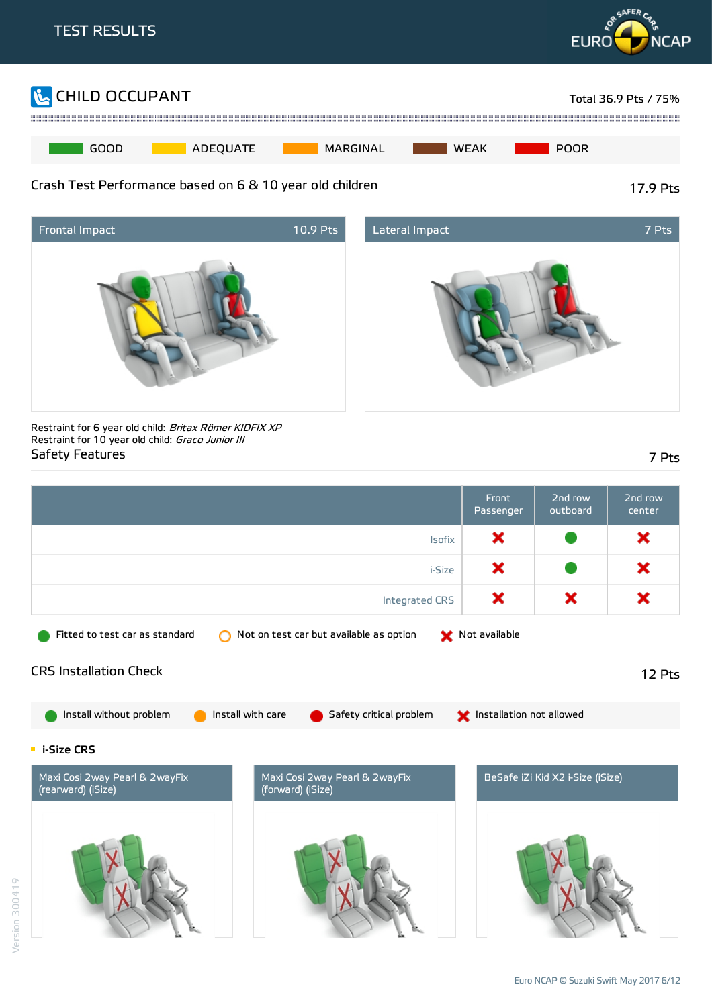





Restraint for 6 year old child: Britax Römer KIDFIX XP Restraint for 10 year old child: Graco Junior III Safety Features 7 Pts

|                                                                                                             | Front<br>Passenger       | 2nd row<br>outboard              | $\overline{2nd}$ row<br>center |
|-------------------------------------------------------------------------------------------------------------|--------------------------|----------------------------------|--------------------------------|
| Isofix                                                                                                      | ×                        |                                  | ×                              |
| i-Size                                                                                                      | ×                        |                                  | ×                              |
| Integrated CRS                                                                                              | ×                        | ×                                | ×                              |
| Not on test car but available as option<br>Fitted to test car as standard<br>∩                              | Not available            |                                  |                                |
| <b>CRS Installation Check</b>                                                                               |                          |                                  | 12 Pts                         |
| Install with care<br>Install without problem<br>Safety critical problem                                     | Installation not allowed |                                  |                                |
| <b>E</b> i-Size CRS                                                                                         |                          |                                  |                                |
| Maxi Cosi 2way Pearl & 2wayFix<br>Maxi Cosi 2way Pearl & 2wayFix<br>(rearward) (iSize)<br>(forward) (iSize) |                          | BeSafe iZi Kid X2 i-Size (iSize) |                                |
|                                                                                                             |                          |                                  |                                |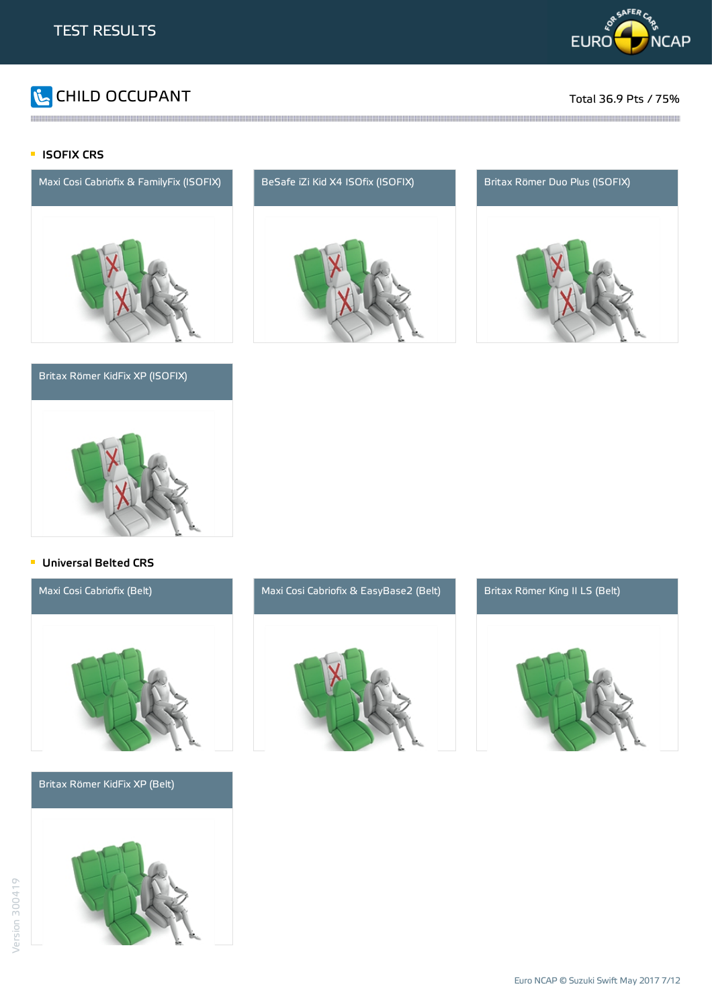

# CHILD OCCUPANT Total 36.9 Pts / 75%

#### **ISOFIX CRS**



#### Britax Römer KidFix XP (ISOFIX)



and the contract of the contract of the contract of the contract of the contract of the contract of the contract of the contract of the contract of the contract of the contract of the contract of the contract of the contra





#### **Universal Belted CRS**



Britax Römer KidFix XP (Belt)





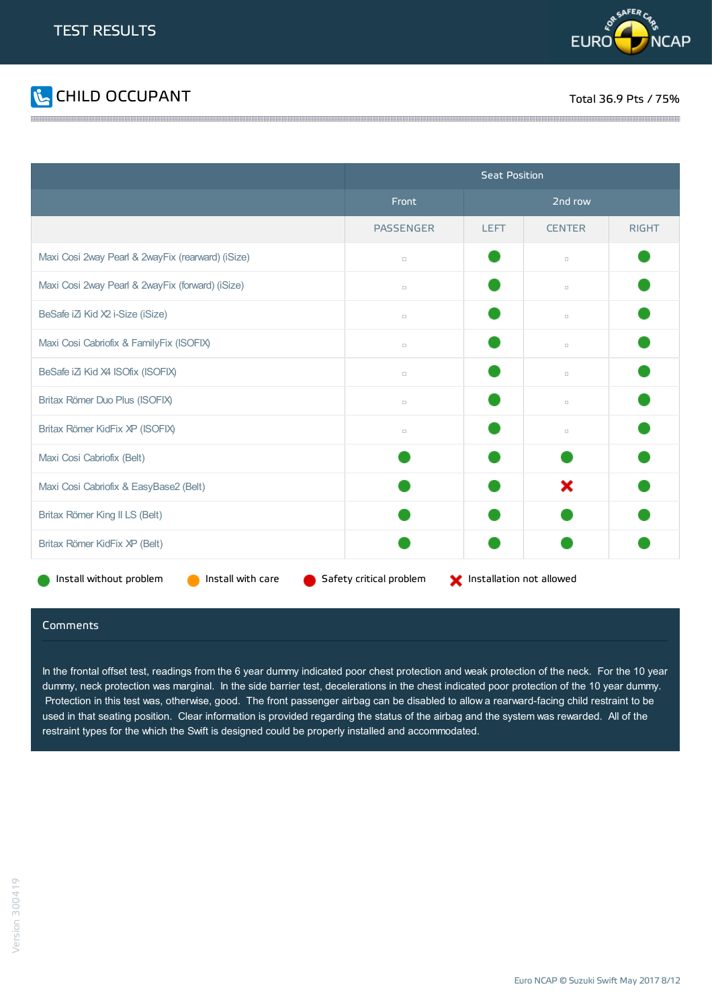



|                                                   | <b>Seat Position</b>                                |             |               |              |  |
|---------------------------------------------------|-----------------------------------------------------|-------------|---------------|--------------|--|
|                                                   | Front                                               | 2nd row     |               |              |  |
|                                                   | <b>PASSENGER</b>                                    | <b>LEFT</b> | <b>CENTER</b> | <b>RIGHT</b> |  |
| Maxi Cosi 2way Pearl & 2wayFix (rearward) (iSize) | $\Box$                                              |             | $\Box$        |              |  |
| Maxi Cosi 2way Pearl & 2wayFix (forward) (iSize)  | $\Box$                                              |             | $\Box$        |              |  |
| BeSafe iZi Kid X2 i-Size (iSize)                  | $\Box$                                              |             | $\Box$        |              |  |
| Maxi Cosi Cabriofix & FamilyFix (ISOFIX)          | $\Box$                                              |             | $\Box$        |              |  |
| BeSafe iZi Kid X4 ISOfix (ISOFIX)                 | $\Box$                                              |             | $\Box$        |              |  |
| Britax Römer Duo Plus (ISOFIX)                    | $\Box$                                              |             | $\Box$        |              |  |
| Britax Römer KidFix XP (ISOFIX)                   | $\Box$                                              |             | $\Box$        |              |  |
| Maxi Cosi Cabriofix (Belt)                        |                                                     |             |               |              |  |
| Maxi Cosi Cabriofix & EasyBase2 (Belt)            |                                                     |             | ×             |              |  |
| Britax Römer King II LS (Belt)                    |                                                     |             |               |              |  |
| Britax Römer KidFix XP (Belt)                     |                                                     |             |               |              |  |
| Install without problem<br>Install with care      | Safety critical problem<br>Installation not allowed |             |               |              |  |

#### Comments

In the frontal offset test, readings from the 6 year dummy indicated poor chest protection and weak protection of the neck. For the 10 year dummy, neck protection was marginal. In the side barrier test, decelerations in the chest indicated poor protection of the 10 year dummy. Protection in this test was, otherwise, good. The front passenger airbag can be disabled to allow a rearward-facing child restraint to be used in that seating position. Clear information is provided regarding the status of the airbag and the system was rewarded. All of the restraint types for the which the Swift is designed could be properly installed and accommodated.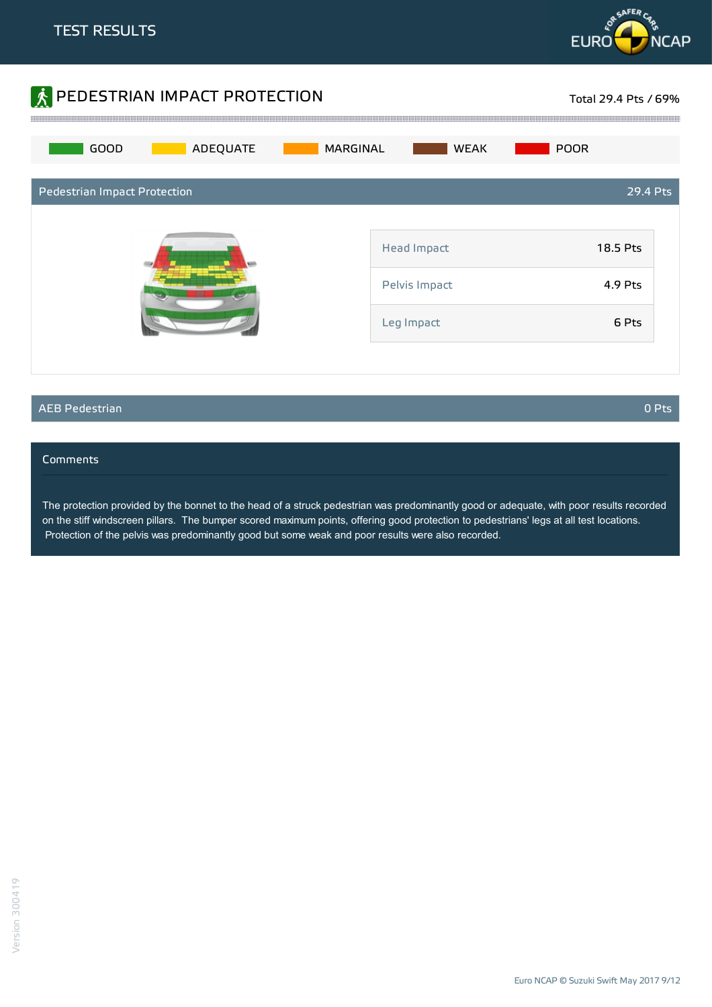



#### AEB Pedestrian 0 Pts

#### **Comments**

The protection provided by the bonnet to the head of a struck pedestrian was predominantly good or adequate, with poor results recorded on the stiff windscreen pillars. The bumper scored maximum points, offering good protection to pedestrians' legs at all test locations. Protection of the pelvis was predominantly good but some weak and poor results were also recorded.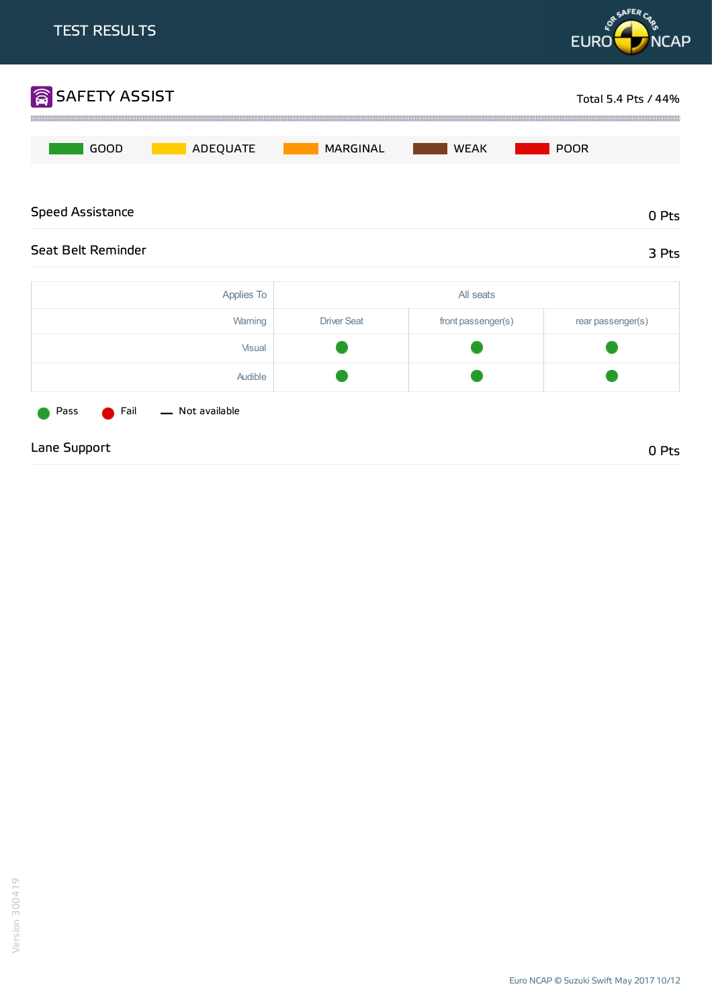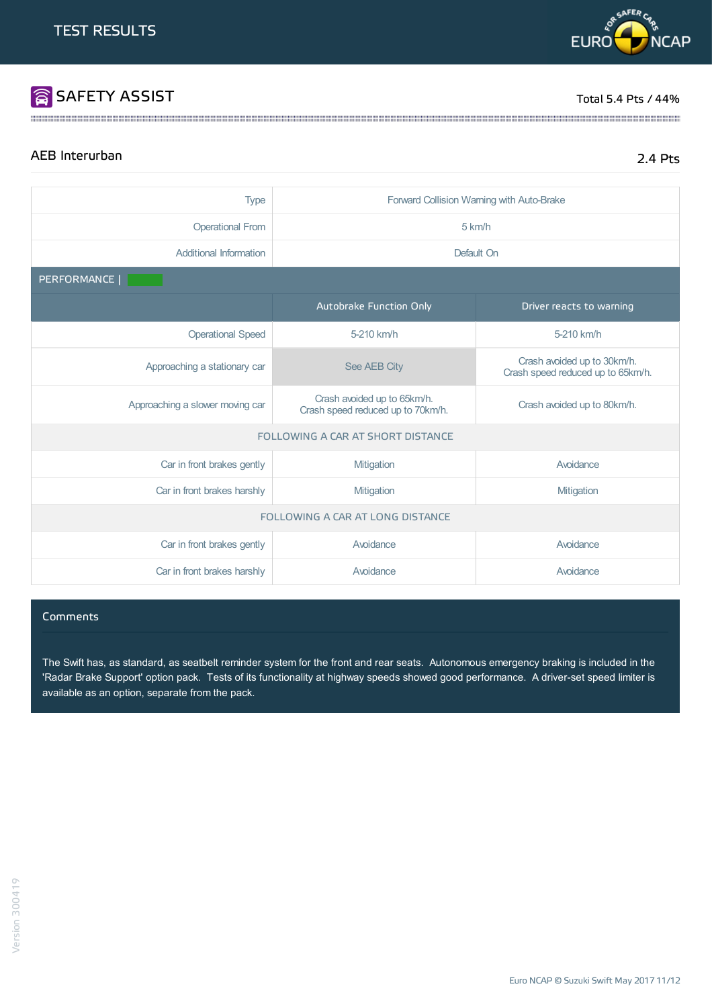# **SAFETY ASSIST** Total 5.4 Pts / 44%

**OR SAFER C** 

**EURO** 

# AEB Interurban 2.4 Pts

**NCAP** 

| <b>Type</b>                      | Forward Collision Warning with Auto-Brake                        |                                                                  |  |  |
|----------------------------------|------------------------------------------------------------------|------------------------------------------------------------------|--|--|
| <b>Operational From</b>          | 5 km/h                                                           |                                                                  |  |  |
| Additional Information           | Default On                                                       |                                                                  |  |  |
| PERFORMANCE                      |                                                                  |                                                                  |  |  |
|                                  | Autobrake Function Only                                          | Driver reacts to warning                                         |  |  |
| <b>Operational Speed</b>         | 5-210 km/h                                                       | 5-210 km/h                                                       |  |  |
| Approaching a stationary car     | See AEB City                                                     | Crash avoided up to 30km/h.<br>Crash speed reduced up to 65km/h. |  |  |
| Approaching a slower moving car  | Crash avoided up to 65km/h.<br>Crash speed reduced up to 70km/h. | Crash avoided up to 80km/h.                                      |  |  |
|                                  | FOLLOWING A CAR AT SHORT DISTANCE                                |                                                                  |  |  |
| Car in front brakes gently       | Mitigation                                                       | Avoidance                                                        |  |  |
| Car in front brakes harshly      | Mitigation                                                       | Mitigation                                                       |  |  |
| FOLLOWING A CAR AT LONG DISTANCE |                                                                  |                                                                  |  |  |
| Car in front brakes gently       | Avoidance                                                        | Avoidance                                                        |  |  |
| Car in front brakes harshly      | Avoidance                                                        | Avoidance                                                        |  |  |

#### Comments

The Swift has, as standard, as seatbelt reminder system for the front and rear seats. Autonomous emergency braking is included in the 'Radar Brake Support' option pack. Tests of its functionality at highway speeds showed good performance. A driver-set speed limiter is available as an option, separate from the pack.